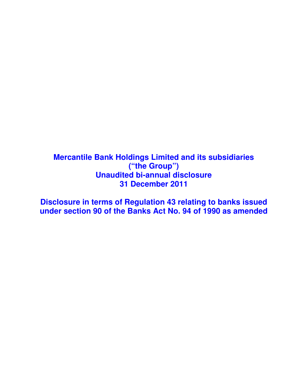# **Mercantile Bank Holdings Limited and its subsidiaries ("the Group") Unaudited bi-annual disclosure 31 December 2011**

**Disclosure in terms of Regulation 43 relating to banks issued under section 90 of the Banks Act No. 94 of 1990 as amended**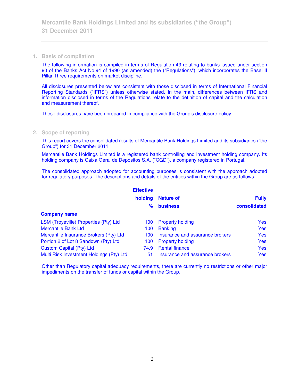#### **1. Basis of compilation**

The following information is compiled in terms of Regulation 43 relating to banks issued under section 90 of the Banks Act No.94 of 1990 (as amended) the ("Regulations"), which incorporates the Basel II Pillar Three requirements on market discipline.

All disclosures presented below are consistent with those disclosed in terms of International Financial Reporting Standards ("IFRS") unless otherwise stated. In the main, differences between IFRS and information disclosed in terms of the Regulations relate to the definition of capital and the calculation and measurement thereof.

These disclosures have been prepared in compliance with the Group's disclosure policy.

## **2. Scope of reporting**

This report covers the consolidated results of Mercantile Bank Holdings Limited and its subsidiaries ("the Group") for 31 December 2011.

Mercantile Bank Holdings Limited is a registered bank controlling and investment holding company. Its holding company is Caixa Geral de Depósitos S.A. ("CGD"), a company registered in Portugal.

The consolidated approach adopted for accounting purposes is consistent with the approach adopted for regulatory purposes. The descriptions and details of the entities within the Group are as follows:

|                                          | <b>Effective</b> |                                 |              |
|------------------------------------------|------------------|---------------------------------|--------------|
|                                          | holding          | <b>Nature of</b>                | <b>Fully</b> |
|                                          | ℅                | <b>business</b>                 | consolidated |
| <b>Company name</b>                      |                  |                                 |              |
| LSM (Troyeville) Properties (Pty) Ltd    | 100              | <b>Property holding</b>         | <b>Yes</b>   |
| Mercantile Bank Ltd                      | 100              | <b>Banking</b>                  | <b>Yes</b>   |
| Mercantile Insurance Brokers (Pty) Ltd   | 100              | Insurance and assurance brokers | <b>Yes</b>   |
| Portion 2 of Lot 8 Sandown (Pty) Ltd     | 100              | <b>Property holding</b>         | <b>Yes</b>   |
| <b>Custom Capital (Pty) Ltd</b>          | 74.9             | <b>Rental finance</b>           | <b>Yes</b>   |
| Multi Risk Investment Holdings (Pty) Ltd | 51               | Insurance and assurance brokers | <b>Yes</b>   |

Other than Regulatory capital adequacy requirements, there are currently no restrictions or other major impediments on the transfer of funds or capital within the Group.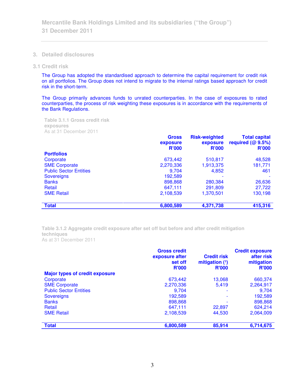- **3. Detailed disclosures**
- **3.1 Credit risk**

The Group has adopted the standardised approach to determine the capital requirement for credit risk on all portfolios. The Group does not intend to migrate to the internal ratings based approach for credit risk in the short-term.

The Group primarily advances funds to unrated counterparties. In the case of exposures to rated counterparties, the process of risk weighting these exposures is in accordance with the requirements of the Bank Regulations.

**Table 3.1.1 Gross credit risk exposures**  As at 31 December 2011

|                               | <b>Gross</b><br>exposure<br><b>R'000</b> | <b>Risk-weighted</b><br>exposure<br><b>R'000</b> | <b>Total capital</b><br>required $(@9.5%)$<br>R'000 |
|-------------------------------|------------------------------------------|--------------------------------------------------|-----------------------------------------------------|
| <b>Portfolios</b>             |                                          |                                                  |                                                     |
| Corporate                     | 673,442                                  | 510,817                                          | 48,528                                              |
| <b>SME Corporate</b>          | 2,270,336                                | 1,913,375                                        | 181,771                                             |
| <b>Public Sector Entities</b> | 9.704                                    | 4,852                                            | 461                                                 |
| <b>Sovereigns</b>             | 192,589                                  |                                                  |                                                     |
| <b>Banks</b>                  | 898,868                                  | 280,384                                          | 26,636                                              |
| Retail                        | 647,111                                  | 291,809                                          | 27,722                                              |
| <b>SME Retail</b>             | 2,108,539                                | 1,370,501                                        | 130,198                                             |
| <b>Total</b>                  | 6,800,589                                | 4,371,738                                        | 415,316                                             |

**Table 3.1.2 Aggregate credit exposure after set off but before and after credit mitigation techniques**  As at 31 December 2011

|                                       | <b>Gross credit</b><br>exposure after<br>set off<br><b>R'000</b> | <b>Credit risk</b><br>mitigation $(1)$<br><b>R'000</b> | <b>Credit exposure</b><br>after risk<br>mitigation<br><b>R'000</b> |
|---------------------------------------|------------------------------------------------------------------|--------------------------------------------------------|--------------------------------------------------------------------|
| <b>Major types of credit exposure</b> |                                                                  |                                                        |                                                                    |
| Corporate                             | 673,442                                                          | 13,068                                                 | 660,374                                                            |
| <b>SME Corporate</b>                  | 2,270,336                                                        | 5.419                                                  | 2,264,917                                                          |
| <b>Public Sector Entities</b>         | 9,704                                                            |                                                        | 9.704                                                              |
| <b>Sovereigns</b>                     | 192,589                                                          | $\overline{\phantom{0}}$                               | 192,589                                                            |
| <b>Banks</b>                          | 898,868                                                          |                                                        | 898,868                                                            |
| Retail                                | 647.111                                                          | 22,897                                                 | 624,214                                                            |
| <b>SME Retail</b>                     | 2,108,539                                                        | 44,530                                                 | 2,064,009                                                          |
| <b>Total</b>                          | 6,800,589                                                        | 85,914                                                 | 6,714,675                                                          |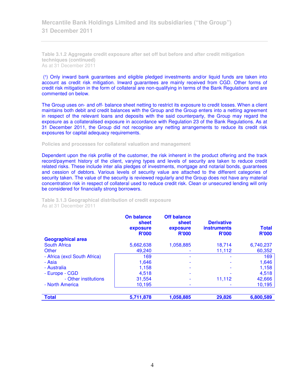**Mercantile Bank Holdings Limited and its subsidiaries ("the Group") 31 December 2011** 

**Table 3.1.2 Aggregate credit exposure after set off but before and after credit mitigation techniques (continued)**  As at 31 December 2011

(1) Only inward bank guarantees and eligible pledged investments and/or liquid funds are taken into account as credit risk mitigation. Inward guarantees are mainly received from CGD. Other forms of credit risk mitigation in the form of collateral are non-qualifying in terms of the Bank Regulations and are commented on below.

The Group uses on- and off- balance sheet netting to restrict its exposure to credit losses. When a client maintains both debit and credit balances with the Group and the Group enters into a netting agreement in respect of the relevant loans and deposits with the said counterparty, the Group may regard the exposure as a collateralised exposure in accordance with Regulation 23 of the Bank Regulations. As at 31 December 2011, the Group did not recognise any netting arrangements to reduce its credit risk exposures for capital adequacy requirements.

**Policies and processes for collateral valuation and management** 

Dependent upon the risk profile of the customer, the risk inherent in the product offering and the track record/payment history of the client, varying types and levels of security are taken to reduce credit related risks. These include inter alia pledges of investments, mortgage and notarial bonds, guarantees and cession of debtors. Various levels of security value are attached to the different categories of security taken. The value of the security is reviewed regularly and the Group does not have any material concentration risk in respect of collateral used to reduce credit risk. Clean or unsecured lending will only be considered for financially strong borrowers.

**On balance Off balance sheet exposure sheet exposure Derivative instruments Total R'000 R'000 R'000 R'000 Geographical area** South Africa 5,662,638 1,058,885 18,714 6,740,237 Other 60,352 and the total 49,240 contract the total 49,240 contract to the total 49,240 contract to the total - Africa (excl South Africa) 169 - 169 - 169 - 169 - 169 - 169 - 169 - 169 - 169 - 169 - 169 - 169 - 169 - 169 - 169 - 169 - 169 - 169 - 169 - 169 - 169 - 169 - 169 - 169 - 169 - 169 - 169 - 169 - 169 - 169 - 169 - 169 - 1 - Asia 1,646 - - 1,646 - Australia 1,158 - - 1,158 - Europe - CGD | 4,518 - - - - - 4,518 - Other institutions | 31,554 - 11,112 42,666 - North America **10,195** - 10,195 - 10,195 - 10,195 **Total 5,711,878 1,058,885 29,826 6,800,589** 

**Table 3.1.3 Geographical distribution of credit exposure**  As at 31 December 2011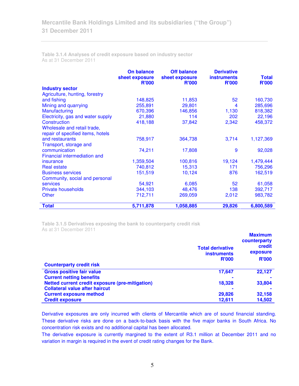**Table 3.1.4 Analyses of credit exposure based on industry sector**  As at 31 December 2011

|                                   | <b>On balance</b><br>sheet exposure<br><b>R'000</b> | <b>Off balance</b><br>sheet exposure<br><b>R'000</b> | <b>Derivative</b><br><b>instruments</b><br><b>R'000</b> | <b>Total</b><br><b>R'000</b> |
|-----------------------------------|-----------------------------------------------------|------------------------------------------------------|---------------------------------------------------------|------------------------------|
| <b>Industry sector</b>            |                                                     |                                                      |                                                         |                              |
| Agriculture, hunting, forestry    |                                                     |                                                      |                                                         |                              |
| and fishing                       | 148,825                                             | 11,853                                               | 52                                                      | 160,730                      |
| Mining and quarrying              | 255,891                                             | 29,801                                               | 4                                                       | 285,696                      |
| Manufacturing                     | 670,396                                             | 146,856                                              | 1,130                                                   | 818,382                      |
| Electricity, gas and water supply | 21,880                                              | 114                                                  | 202                                                     | 22,196                       |
| Construction                      | 418,188                                             | 37,842                                               | 2,342                                                   | 458,372                      |
| Wholesale and retail trade,       |                                                     |                                                      |                                                         |                              |
| repair of specified items, hotels |                                                     |                                                      |                                                         |                              |
| and restaurants                   | 758,917                                             | 364,738                                              | 3,714                                                   | 1,127,369                    |
| Transport, storage and            |                                                     |                                                      |                                                         |                              |
| communication                     | 74,211                                              | 17,808                                               | 9                                                       | 92,028                       |
| Financial intermediation and      |                                                     |                                                      |                                                         |                              |
| insurance                         | 1,359,504                                           | 100,816                                              | 19,124                                                  | 1,479,444                    |
| <b>Real estate</b>                | 740,812                                             | 15,313                                               | 171                                                     | 756,296                      |
| <b>Business services</b>          | 151,519                                             | 10,124                                               | 876                                                     | 162,519                      |
| Community, social and personal    |                                                     |                                                      |                                                         |                              |
| <b>services</b>                   | 54,921                                              | 6,085                                                | 52                                                      | 61,058                       |
| Private households                | 344,103                                             | 48,476                                               | 138                                                     | 392,717                      |
| Other                             | 712,711                                             | 269,059                                              | 2,012                                                   | 983,782                      |
| <b>Total</b>                      | 5,711,878                                           | 1,058,885                                            | 29,826                                                  | 6,800,589                    |

**Table 3.1.5 Derivatives exposing the bank to counterparty credit risk**  As at 31 December 2011

|                                                 |                         | <b>Maximum</b>         |
|-------------------------------------------------|-------------------------|------------------------|
|                                                 | <b>Total derivative</b> | counterparty<br>credit |
|                                                 | <b>instruments</b>      | exposure               |
|                                                 | <b>R'000</b>            | <b>R'000</b>           |
| <b>Counterparty credit risk</b>                 |                         |                        |
| <b>Gross positive fair value</b>                | 17,647                  | 22,127                 |
| <b>Current netting benefits</b>                 |                         |                        |
| Netted current credit exposure (pre-mitigation) | 18,328                  | 33,804                 |
| <b>Collateral value after haircut</b>           |                         |                        |
| <b>Current exposure method</b>                  | 29,826                  | 32,158                 |
| <b>Credit exposure</b>                          | 12.611                  | 14,502                 |

Derivative exposures are only incurred with clients of Mercantile which are of sound financial standing. These derivative risks are done on a back-to-back basis with the five major banks in South Africa. No concentration risk exists and no additional capital has been allocated.

The derivative exposure is currently margined to the extent of R3.1 million at December 2011 and no variation in margin is required in the event of credit rating changes for the Bank.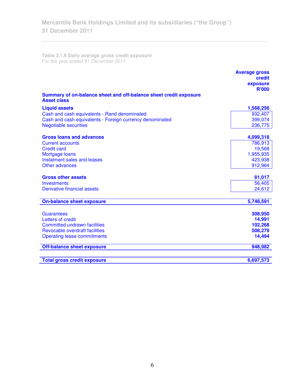**Table 3.1.6 Daily average gross credit exposure**  For the year ended 31 December 2011

|                                                                                         | <b>Average gross</b><br>credit<br>exposure<br><b>R'000</b> |
|-----------------------------------------------------------------------------------------|------------------------------------------------------------|
| Summary of on-balance sheet and off-balance sheet credit exposure<br><b>Asset class</b> |                                                            |
| <b>Liquid assets</b>                                                                    | 1,568,256                                                  |
| Cash and cash equivalents - Rand denominated                                            | 932,407                                                    |
| Cash and cash equivalents - Foreign currency denominated                                | 399,074                                                    |
| <b>Negotiable securities</b>                                                            | 236,775                                                    |
| <b>Gross loans and advances</b>                                                         | 4,099,318                                                  |
| <b>Current accounts</b>                                                                 | 786,913                                                    |
| <b>Credit card</b>                                                                      | 19,568                                                     |
| Mortgage loans                                                                          | 1,955,935                                                  |
| Instalment sales and leases                                                             | 423,938                                                    |
| Other advances                                                                          | 912,964                                                    |
| <b>Gross other assets</b>                                                               | 81,017                                                     |
| <b>Investments</b>                                                                      | 56,405                                                     |
| <b>Derivative financial assets</b>                                                      | 24,612                                                     |
|                                                                                         |                                                            |
| <b>On-balance sheet exposure</b>                                                        | 5,748,591                                                  |
| <b>Guarantees</b>                                                                       | 308,950                                                    |
| Letters of credit                                                                       | 14,991                                                     |
| <b>Committed undrawn facilities</b>                                                     | 102,268                                                    |
| Revocable overdraft facilities                                                          | 508,279                                                    |
| <b>Operating lease commitments</b>                                                      | 14,494                                                     |
| <b>Off-balance sheet exposure</b>                                                       | 948,982                                                    |
| <b>Total gross credit exposure</b>                                                      | 6,697,573                                                  |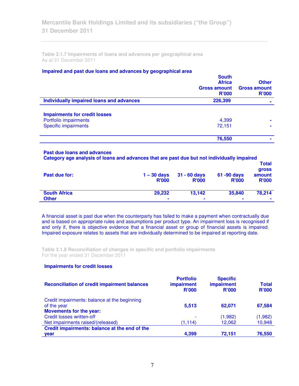**Table 3.1.7 Impairments of loans and advances per geographical area**  As at 31 December 2011

## **Impaired and past due loans and advances by geographical area**

|                                          | <b>South</b><br><b>Africa</b><br><b>Gross amount</b><br><b>R'000</b> | <b>Other</b><br><b>Gross amount</b><br><b>R'000</b> |
|------------------------------------------|----------------------------------------------------------------------|-----------------------------------------------------|
| Individually impaired loans and advances | 226,399                                                              |                                                     |
| <b>Impairments for credit losses</b>     |                                                                      |                                                     |
| Portfolio impairments                    | 4,399                                                                |                                                     |
| <b>Specific impairments</b>              | 72,151                                                               |                                                     |
|                                          | 76,550                                                               |                                                     |

## **Past due loans and advances**

| Category age analysis of loans and advances that are past due but not individually impaired |                               |                                |                                |                                                 |  |  |
|---------------------------------------------------------------------------------------------|-------------------------------|--------------------------------|--------------------------------|-------------------------------------------------|--|--|
| Past due for:                                                                               | $1 - 30$ days<br><b>R'000</b> | $31 - 60$ days<br><b>R'000</b> | $61 - 90$ days<br><b>R'000</b> | <b>Total</b><br>gross<br>amount<br><b>R'000</b> |  |  |
| <b>South Africa</b><br><b>Other</b>                                                         | 29,232<br>۰                   | 13,142<br>۰                    | 35,840<br>$\blacksquare$       | 78,214<br>$\blacksquare$                        |  |  |

A financial asset is past due when the counterparty has failed to make a payment when contractually due and is based on appropriate rules and assumptions per product type. An impairment loss is recognised if and only if, there is objective evidence that a financial asset or group of financial assets is impaired. Impaired exposure relates to assets that are individually determined to be impaired at reporting date.

**Table 3.1.8 Reconciliation of changes in specific and portfolio impairments**  For the year ended 31 December 2011

# **Impairments for credit losses**

| <b>Reconciliation of credit impairment balances</b> | <b>Portfolio</b><br><b>impairment</b><br><b>R'000</b> | <b>Specific</b><br><b>impairment</b><br><b>R'000</b> | <b>Total</b><br><b>R'000</b> |
|-----------------------------------------------------|-------------------------------------------------------|------------------------------------------------------|------------------------------|
| Credit impairments: balance at the beginning        |                                                       |                                                      |                              |
| of the year                                         | 5.513                                                 | 62.071                                               | 67,584                       |
| <b>Movements for the year:</b>                      |                                                       |                                                      |                              |
| Credit losses written-off                           |                                                       | (1,982)                                              | (1,982)                      |
| Net impairments raised/(released)                   | (1, 114)                                              | 12,062                                               | 10,948                       |
| Credit impairments: balance at the end of the       |                                                       |                                                      |                              |
| year                                                | 4.399                                                 | 72,151                                               | 76,550                       |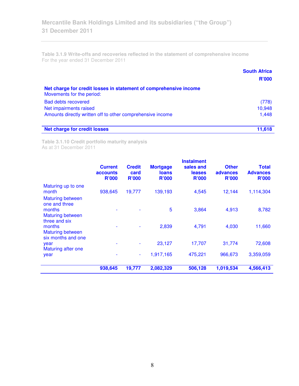**Table 3.1.9 Write-offs and recoveries reflected in the statement of comprehensive income**  For the year ended 31 December 2011

|                                                                                                | <b>South Africa</b><br><b>R'000</b> |
|------------------------------------------------------------------------------------------------|-------------------------------------|
| Net charge for credit losses in statement of comprehensive income<br>Movements for the period: |                                     |
| <b>Bad debts recovered</b>                                                                     | (778)                               |
| Net impairments raised                                                                         | 10,948                              |
| Amounts directly written off to other comprehensive income                                     | 1,448                               |
| <b>Net charge for credit losses</b>                                                            | 11.618                              |

**Table 3.1.10 Credit portfolio maturity analysis**  As at 31 December 2011

|                                                                     | <b>Current</b><br><b>accounts</b><br><b>R'000</b> | <b>Credit</b><br>card<br><b>R'000</b> | <b>Mortgage</b><br><b>loans</b><br><b>R'000</b> | <b>Instalment</b><br>sales and<br><b>leases</b><br><b>R'000</b> | <b>Other</b><br>advances<br><b>R'000</b> | <b>Total</b><br><b>Advances</b><br><b>R'000</b> |
|---------------------------------------------------------------------|---------------------------------------------------|---------------------------------------|-------------------------------------------------|-----------------------------------------------------------------|------------------------------------------|-------------------------------------------------|
| Maturing up to one<br>month<br><b>Maturing between</b>              | 938,645                                           | 19,777                                | 139,193                                         | 4,545                                                           | 12,144                                   | 1,114,304                                       |
| one and three<br>months<br><b>Maturing between</b><br>three and six |                                                   |                                       | 5                                               | 3,864                                                           | 4,913                                    | 8,782                                           |
| months<br><b>Maturing between</b><br>six months and one             |                                                   |                                       | 2,839                                           | 4,791                                                           | 4,030                                    | 11,660                                          |
| year<br>Maturing after one                                          | ۰                                                 |                                       | 23,127                                          | 17,707                                                          | 31,774                                   | 72,608                                          |
| year                                                                |                                                   | ۰                                     | 1,917,165                                       | 475,221                                                         | 966,673                                  | 3,359,059                                       |
|                                                                     | 938,645                                           | 19,777                                | 2,082,329                                       | 506,128                                                         | 1,019,534                                | 4,566,413                                       |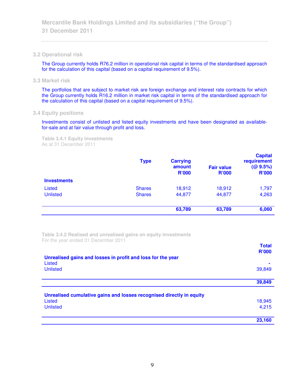## **3.2 Operational risk**

The Group currently holds R76.2 million in operational risk capital in terms of the standardised approach for the calculation of this capital (based on a capital requirement of 9.5%).

**3.3 Market risk** 

The portfolios that are subject to market risk are foreign exchange and interest rate contracts for which the Group currently holds R16.2 million in market risk capital in terms of the standardised approach for the calculation of this capital (based on a capital requirement of 9.5%).

# **3.4 Equity positions**

Investments consist of unlisted and listed equity investments and have been designated as availablefor-sale and at fair value through profit and loss.

**Table 3.4.1 Equity investments**  As at 31 December 2011

|                    | <b>Type</b>   | <b>Carrying</b><br>amount<br><b>R'000</b> | <b>Fair value</b><br><b>R'000</b> | <b>Capital</b><br>requirement<br>(QQ 9.5%)<br><b>R'000</b> |
|--------------------|---------------|-------------------------------------------|-----------------------------------|------------------------------------------------------------|
| <b>Investments</b> |               |                                           |                                   |                                                            |
| Listed             | <b>Shares</b> | 18,912                                    | 18,912                            | 1,797                                                      |
| <b>Unlisted</b>    | <b>Shares</b> | 44,877                                    | 44,877                            | 4,263                                                      |
|                    |               | 63,789                                    | 63,789                            | 6,060                                                      |

**Table 3.4.2 Realised and unrealised gains on equity investments**  For the year ended 31 December 2011

|                                                                       | <b>Total</b><br><b>R'000</b> |
|-----------------------------------------------------------------------|------------------------------|
| Unrealised gains and losses in profit and loss for the year<br>Listed |                              |
| <b>Unlisted</b>                                                       | 39,849                       |
|                                                                       | 39,849                       |
| Unrealised cumulative gains and losses recognised directly in equity  |                              |
| Listed                                                                | 18,945                       |
| <b>Unlisted</b>                                                       | 4,215                        |
|                                                                       | 23,160                       |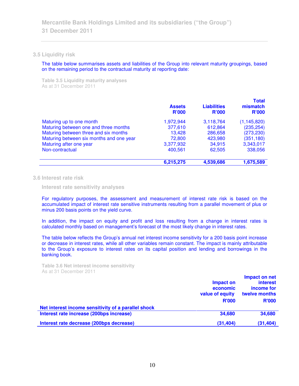## **3.5 Liquidity risk**

The table below summarises assets and liabilities of the Group into relevant maturity groupings, based on the remaining period to the contractual maturity at reporting date:

**Table 3.5 Liquidity maturity analyses**  As at 31 December 2011

|                                          | <b>Assets</b><br><b>R'000</b> | <b>Liabilities</b><br><b>R'000</b> | <b>Total</b><br>mismatch<br><b>R'000</b> |
|------------------------------------------|-------------------------------|------------------------------------|------------------------------------------|
| Maturing up to one month                 | 1,972,944                     | 3,118,764                          | (1, 145, 820)                            |
| Maturing between one and three months    | 377,610                       | 612,864                            | (235, 254)                               |
| Maturing between three and six months    | 13,428                        | 286,658                            | (273, 230)                               |
| Maturing between six months and one year | 72,800                        | 423,980                            | (351, 180)                               |
| Maturing after one year                  | 3,377,932                     | 34,915                             | 3,343,017                                |
| Non-contractual                          | 400.561                       | 62,505                             | 338,056                                  |
|                                          | 6,215,275                     | 4,539,686                          | 1,675,589                                |

## **3.6 Interest rate risk**

 **Interest rate sensitivity analyses** 

For regulatory purposes, the assessment and measurement of interest rate risk is based on the accumulated impact of interest rate sensitive instruments resulting from a parallel movement of plus or minus 200 basis points on the yield curve.

In addition, the impact on equity and profit and loss resulting from a change in interest rates is calculated monthly based on management's forecast of the most likely change in interest rates.

The table below reflects the Group's annual net interest income sensitivity for a 200 basis point increase or decrease in interest rates, while all other variables remain constant. The impact is mainly attributable to the Group's exposure to interest rates on its capital position and lending and borrowings in the banking book.

**Table 3.6 Net interest income sensitivity**  As at 31 December 2011

|                                                     | Impact on<br>economic<br>value of equity<br><b>R'000</b> | Impact on net<br><b>interest</b><br>income for<br>twelve months<br><b>R'000</b> |
|-----------------------------------------------------|----------------------------------------------------------|---------------------------------------------------------------------------------|
| Net interest income sensitivity of a parallel shock |                                                          |                                                                                 |
| Interest rate increase (200bps increase)            | 34,680                                                   | 34,680                                                                          |
| Interest rate decrease (200bps decrease)            | (31, 404)                                                | (31, 404)                                                                       |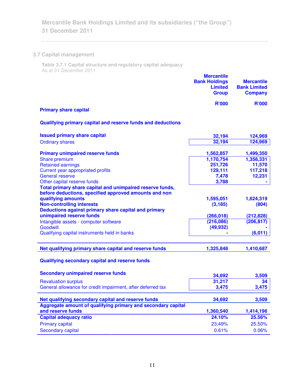# **3.7 Capital management**

**Table 3.7.1 Capital structure and regulatory capital adequacy**  As at 31 December 2011

|                              | <b>Mercantile</b><br><b>Bank Holdings</b><br><b>Limited</b><br><b>Group</b> | <b>Mercantile</b><br><b>Bank Limited</b><br><b>Company</b> |
|------------------------------|-----------------------------------------------------------------------------|------------------------------------------------------------|
| <b>Primary share capital</b> | <b>R'000</b>                                                                | <b>R'000</b>                                               |

# **Qualifying primary capital and reserve funds and deductions**

| <b>Issued primary share capital</b>                                                                             | 32,194                | 124,969            |
|-----------------------------------------------------------------------------------------------------------------|-----------------------|--------------------|
| <b>Ordinary shares</b>                                                                                          | 32,194                | 124,969            |
| <b>Primary unimpaired reserve funds</b>                                                                         | 1,562,857             | 1,499,350          |
| Share premium                                                                                                   | 1,170,754             | 1,358,331          |
| <b>Retained earnings</b>                                                                                        | 251,726               | 11,570             |
| Current year appropriated profits                                                                               | 129,111               | 117,218            |
| <b>General reserve</b>                                                                                          | 7,478                 | 12,231             |
| Other capital reserve funds                                                                                     | 3,788                 |                    |
| before deductions, specified approved amounts and non<br>qualifying amounts<br><b>Non-controlling interests</b> | 1,595,051<br>(3, 185) | 1,624,319<br>(804) |
| Deductions against primary share capital and primary                                                            |                       |                    |
| unimpaired reserve funds                                                                                        | (266, 018)            | (212, 828)         |
| Intangible assets - computer software                                                                           | (216, 086)            | (206, 817)         |
| Goodwill                                                                                                        | (49, 932)             |                    |
| Qualifying capital instruments held in banks                                                                    |                       | (6,011)            |
| Net qualifying primary share capital and reserve funds                                                          | 1,325,848             | 1,410,687          |

# **Qualifying secondary capital and reserve funds**

| <b>Secondary unimpaired reserve funds</b>                    | 34,692    | 3,509     |
|--------------------------------------------------------------|-----------|-----------|
| <b>Revaluation surplus</b>                                   | 31,217    | 34        |
| General allowance for credit impairment, after deferred tax  | 3,475     | 3,475     |
| Net qualifying secondary capital and reserve funds           | 34,692    | 3,509     |
| Aggregate amount of qualifying primary and secondary capital |           |           |
| and reserve funds                                            | 1,360,540 | 1,414,196 |
| <b>Capital adequacy ratio</b>                                | 24.10%    | 25.56%    |
| <b>Primary capital</b>                                       | 23.49%    | 25.50%    |
| Secondary capital                                            | 0.61%     | 0.06%     |